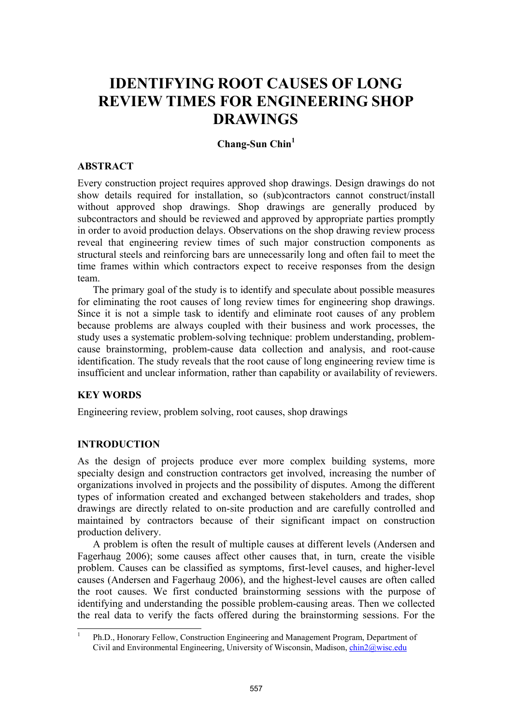# **IDENTIFYING ROOT CAUSES OF LONG REVIEW TIMES FOR ENGINEERING SHOP DRAWINGS**

# **Chang-Sun Chin1**

#### **ABSTRACT**

Every construction project requires approved shop drawings. Design drawings do not show details required for installation, so (sub)contractors cannot construct/install without approved shop drawings. Shop drawings are generally produced by subcontractors and should be reviewed and approved by appropriate parties promptly in order to avoid production delays. Observations on the shop drawing review process reveal that engineering review times of such major construction components as structural steels and reinforcing bars are unnecessarily long and often fail to meet the time frames within which contractors expect to receive responses from the design team.

The primary goal of the study is to identify and speculate about possible measures for eliminating the root causes of long review times for engineering shop drawings. Since it is not a simple task to identify and eliminate root causes of any problem because problems are always coupled with their business and work processes, the study uses a systematic problem-solving technique: problem understanding, problemcause brainstorming, problem-cause data collection and analysis, and root-cause identification. The study reveals that the root cause of long engineering review time is insufficient and unclear information, rather than capability or availability of reviewers.

## **KEY WORDS**

Engineering review, problem solving, root causes, shop drawings

## **INTRODUCTION**

As the design of projects produce ever more complex building systems, more specialty design and construction contractors get involved, increasing the number of organizations involved in projects and the possibility of disputes. Among the different types of information created and exchanged between stakeholders and trades, shop drawings are directly related to on-site production and are carefully controlled and maintained by contractors because of their significant impact on construction production delivery.

A problem is often the result of multiple causes at different levels (Andersen and Fagerhaug 2006); some causes affect other causes that, in turn, create the visible problem. Causes can be classified as symptoms, first-level causes, and higher-level causes (Andersen and Fagerhaug 2006), and the highest-level causes are often called the root causes. We first conducted brainstorming sessions with the purpose of identifying and understanding the possible problem-causing areas. Then we collected the real data to verify the facts offered during the brainstorming sessions. For the

<sup>|&</sup>lt;br>|<br>| Ph.D., Honorary Fellow, Construction Engineering and Management Program, Department of Civil and Environmental Engineering, University of Wisconsin, Madison, chin2@wisc.edu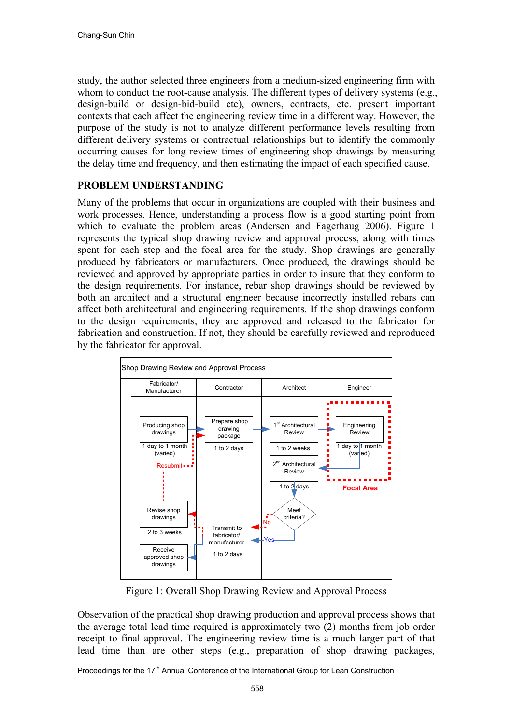study, the author selected three engineers from a medium-sized engineering firm with whom to conduct the root-cause analysis. The different types of delivery systems (e.g., design-build or design-bid-build etc), owners, contracts, etc. present important contexts that each affect the engineering review time in a different way. However, the purpose of the study is not to analyze different performance levels resulting from different delivery systems or contractual relationships but to identify the commonly occurring causes for long review times of engineering shop drawings by measuring the delay time and frequency, and then estimating the impact of each specified cause.

## **PROBLEM UNDERSTANDING**

Many of the problems that occur in organizations are coupled with their business and work processes. Hence, understanding a process flow is a good starting point from which to evaluate the problem areas (Andersen and Fagerhaug 2006). Figure 1 represents the typical shop drawing review and approval process, along with times spent for each step and the focal area for the study. Shop drawings are generally produced by fabricators or manufacturers. Once produced, the drawings should be reviewed and approved by appropriate parties in order to insure that they conform to the design requirements. For instance, rebar shop drawings should be reviewed by both an architect and a structural engineer because incorrectly installed rebars can affect both architectural and engineering requirements. If the shop drawings conform to the design requirements, they are approved and released to the fabricator for fabrication and construction. If not, they should be carefully reviewed and reproduced by the fabricator for approval.



Figure 1: Overall Shop Drawing Review and Approval Process

Observation of the practical shop drawing production and approval process shows that the average total lead time required is approximately two (2) months from job order receipt to final approval. The engineering review time is a much larger part of that lead time than are other steps (e.g., preparation of shop drawing packages,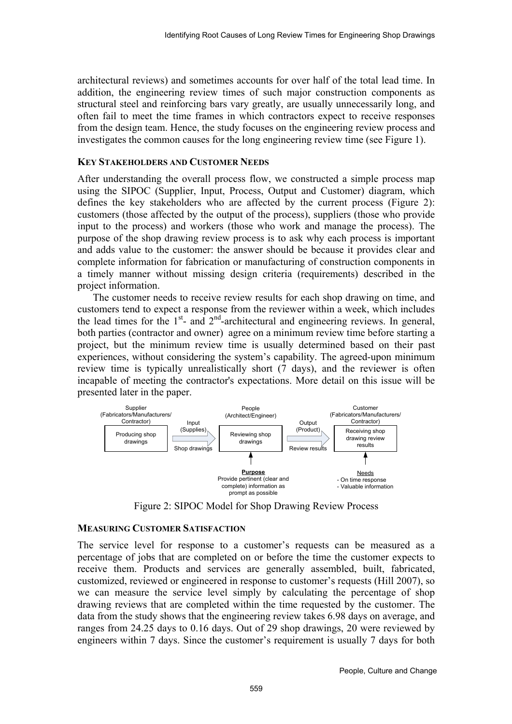architectural reviews) and sometimes accounts for over half of the total lead time. In addition, the engineering review times of such major construction components as structural steel and reinforcing bars vary greatly, are usually unnecessarily long, and often fail to meet the time frames in which contractors expect to receive responses from the design team. Hence, the study focuses on the engineering review process and investigates the common causes for the long engineering review time (see Figure 1).

## **KEY STAKEHOLDERS AND CUSTOMER NEEDS**

After understanding the overall process flow, we constructed a simple process map using the SIPOC (Supplier, Input, Process, Output and Customer) diagram, which defines the key stakeholders who are affected by the current process (Figure 2): customers (those affected by the output of the process), suppliers (those who provide input to the process) and workers (those who work and manage the process). The purpose of the shop drawing review process is to ask why each process is important and adds value to the customer: the answer should be because it provides clear and complete information for fabrication or manufacturing of construction components in a timely manner without missing design criteria (requirements) described in the project information.

The customer needs to receive review results for each shop drawing on time, and customers tend to expect a response from the reviewer within a week, which includes the lead times for the  $1<sup>st</sup>$ - and  $2<sup>nd</sup>$ -architectural and engineering reviews. In general, both parties (contractor and owner) agree on a minimum review time before starting a project, but the minimum review time is usually determined based on their past experiences, without considering the system's capability. The agreed-upon minimum review time is typically unrealistically short (7 days), and the reviewer is often incapable of meeting the contractor's expectations. More detail on this issue will be presented later in the paper.



Figure 2: SIPOC Model for Shop Drawing Review Process

## **MEASURING CUSTOMER SATISFACTION**

The service level for response to a customer's requests can be measured as a percentage of jobs that are completed on or before the time the customer expects to receive them. Products and services are generally assembled, built, fabricated, customized, reviewed or engineered in response to customer's requests (Hill 2007), so we can measure the service level simply by calculating the percentage of shop drawing reviews that are completed within the time requested by the customer. The data from the study shows that the engineering review takes 6.98 days on average, and ranges from 24.25 days to 0.16 days. Out of 29 shop drawings, 20 were reviewed by engineers within 7 days. Since the customer's requirement is usually 7 days for both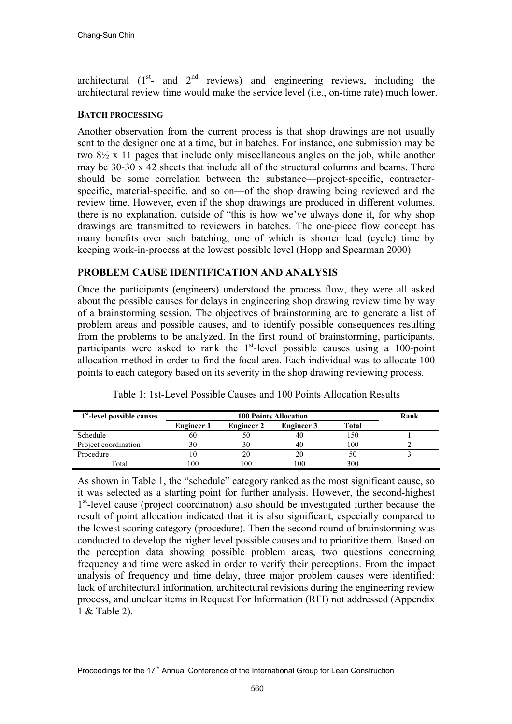architectural  $(1<sup>st</sup>-$  and  $2<sup>nd</sup>$  reviews) and engineering reviews, including the architectural review time would make the service level (i.e., on-time rate) much lower.

## **BATCH PROCESSING**

Another observation from the current process is that shop drawings are not usually sent to the designer one at a time, but in batches. For instance, one submission may be two 8½ x 11 pages that include only miscellaneous angles on the job, while another may be 30-30 x 42 sheets that include all of the structural columns and beams. There should be some correlation between the substance—project-specific, contractorspecific, material-specific, and so on—of the shop drawing being reviewed and the review time. However, even if the shop drawings are produced in different volumes, there is no explanation, outside of "this is how we've always done it, for why shop drawings are transmitted to reviewers in batches. The one-piece flow concept has many benefits over such batching, one of which is shorter lead (cycle) time by keeping work-in-process at the lowest possible level (Hopp and Spearman 2000).

# **PROBLEM CAUSE IDENTIFICATION AND ANALYSIS**

Once the participants (engineers) understood the process flow, they were all asked about the possible causes for delays in engineering shop drawing review time by way of a brainstorming session. The objectives of brainstorming are to generate a list of problem areas and possible causes, and to identify possible consequences resulting from the problems to be analyzed. In the first round of brainstorming, participants, participants were asked to rank the  $1<sup>st</sup>$ -level possible causes using a 100-point allocation method in order to find the focal area. Each individual was to allocate 100 points to each category based on its severity in the shop drawing reviewing process.

| 1 <sup>st</sup> -level possible causes |                   | Rank              |                   |       |  |
|----------------------------------------|-------------------|-------------------|-------------------|-------|--|
|                                        | <b>Engineer 1</b> | <b>Engineer 2</b> | <b>Engineer 3</b> | Total |  |
| Schedule                               | 60                |                   | 40                | -50   |  |
| Project coordination                   | 30                |                   | 40                | 100   |  |
| Procedure                              | ш                 |                   |                   | 50    |  |
| Total                                  | 00                | 00                | 100               | 300   |  |

Table 1: 1st-Level Possible Causes and 100 Points Allocation Results

As shown in Table 1, the "schedule" category ranked as the most significant cause, so it was selected as a starting point for further analysis. However, the second-highest  $1<sup>st</sup>$ -level cause (project coordination) also should be investigated further because the result of point allocation indicated that it is also significant, especially compared to the lowest scoring category (procedure). Then the second round of brainstorming was conducted to develop the higher level possible causes and to prioritize them. Based on the perception data showing possible problem areas, two questions concerning frequency and time were asked in order to verify their perceptions. From the impact analysis of frequency and time delay, three major problem causes were identified: lack of architectural information, architectural revisions during the engineering review process, and unclear items in Request For Information (RFI) not addressed (Appendix 1 & Table 2).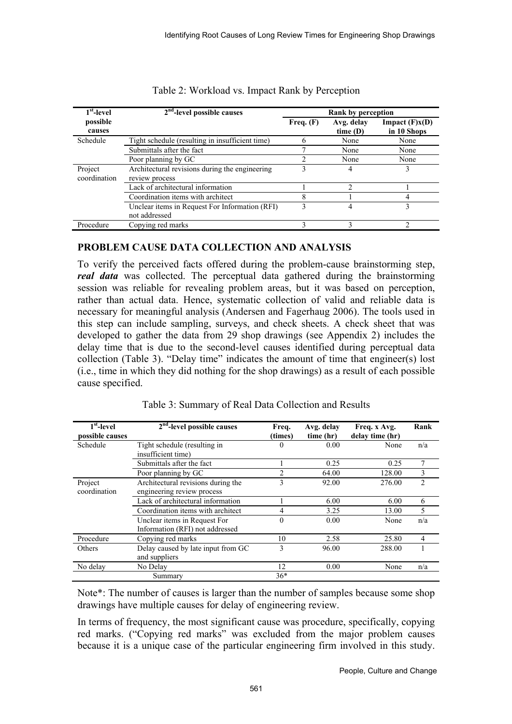| $1st$ -level            | $2nd$ -level possible causes                                     |              | Rank by perception    |                                 |  |  |  |
|-------------------------|------------------------------------------------------------------|--------------|-----------------------|---------------------------------|--|--|--|
| possible<br>causes      |                                                                  | Freq. $(F)$  | Avg. delay<br>time(D) | Impact $(F)x(D)$<br>in 10 Shops |  |  |  |
| Schedule                | Tight schedule (resulting in insufficient time)                  | <sub>b</sub> | None                  | None                            |  |  |  |
|                         | Submittals after the fact                                        |              | None                  | None                            |  |  |  |
|                         | Poor planning by GC                                              |              | None                  | None                            |  |  |  |
| Project<br>coordination | Architectural revisions during the engineering<br>review process |              | 4                     | 3                               |  |  |  |
|                         | Lack of architectural information                                |              |                       |                                 |  |  |  |
|                         | Coordination items with architect                                | 8            |                       | 4                               |  |  |  |
|                         | Unclear items in Request For Information (RFI)<br>not addressed  |              | 4                     | 3                               |  |  |  |
| Procedure               | Copying red marks                                                |              |                       | ∍                               |  |  |  |

Table 2: Workload vs. Impact Rank by Perception

# **PROBLEM CAUSE DATA COLLECTION AND ANALYSIS**

To verify the perceived facts offered during the problem-cause brainstorming step, *real data* was collected. The perceptual data gathered during the brainstorming session was reliable for revealing problem areas, but it was based on perception, rather than actual data. Hence, systematic collection of valid and reliable data is necessary for meaningful analysis (Andersen and Fagerhaug 2006). The tools used in this step can include sampling, surveys, and check sheets. A check sheet that was developed to gather the data from 29 shop drawings (see Appendix 2) includes the delay time that is due to the second-level causes identified during perceptual data collection (Table 3). "Delay time" indicates the amount of time that engineer(s) lost (i.e., time in which they did nothing for the shop drawings) as a result of each possible cause specified.

| $1st$ -level    | $2nd$ -level possible causes       | Freq.    | Avg. delay | Freq. x Avg.    | Rank           |
|-----------------|------------------------------------|----------|------------|-----------------|----------------|
| possible causes |                                    | (times)  | time (hr)  | delay time (hr) |                |
| Schedule        | Tight schedule (resulting in       | 0        | 0.00       | None            | n/a            |
|                 | insufficient time)                 |          |            |                 |                |
|                 | Submittals after the fact          |          | 0.25       | 0.25            |                |
|                 | Poor planning by GC                | 2        | 64.00      | 128.00          | 3              |
| Project         | Architectural revisions during the | 3        | 92.00      | 276.00          | $\overline{c}$ |
| coordination    | engineering review process         |          |            |                 |                |
|                 | Lack of architectural information  |          | 6.00       | 6.00            | 6              |
|                 | Coordination items with architect  | 4        | 3.25       | 13.00           | 5              |
|                 | Unclear items in Request For       | $\theta$ | 0.00       | None            | n/a            |
|                 | Information (RFI) not addressed    |          |            |                 |                |
| Procedure       | Copying red marks                  | 10       | 2.58       | 25.80           | 4              |
| Others          | Delay caused by late input from GC | 3        | 96.00      | 288.00          |                |
|                 | and suppliers                      |          |            |                 |                |
| No delay        | No Delay                           | 12       | 0.00       | None            | n/a            |
|                 | Summary                            | $36*$    |            |                 |                |

Table 3: Summary of Real Data Collection and Results

Note\*: The number of causes is larger than the number of samples because some shop drawings have multiple causes for delay of engineering review.

In terms of frequency, the most significant cause was procedure, specifically, copying red marks. ("Copying red marks" was excluded from the major problem causes because it is a unique case of the particular engineering firm involved in this study.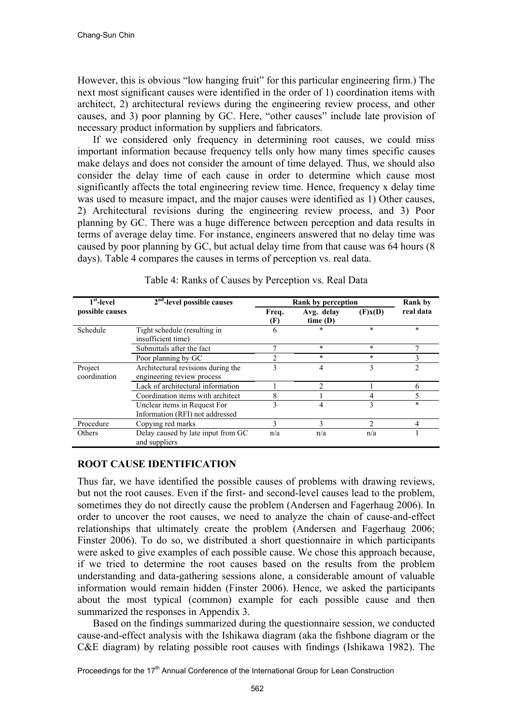However, this is obvious "low hanging fruit" for this particular engineering firm.) The next most significant causes were identified in the order of 1) coordination items with architect, 2) architectural reviews during the engineering review process, and other causes, and 3) poor planning by GC. Here, "other causes" include late provision of necessary product information by suppliers and fabricators.

If we considered only frequency in determining root causes, we could miss important information because frequency tells only how many times specific causes make delays and does not consider the amount of time delayed. Thus, we should also consider the delay time of each cause in order to determine which cause most significantly affects the total engineering review time. Hence, frequency x delay time was used to measure impact, and the major causes were identified as 1) Other causes, 2) Architectural revisions during the engineering review process, and 3) Poor planning by GC. There was a huge difference between perception and data results in terms of average delay time. For instance, engineers answered that no delay time was caused by poor planning by GC, but actual delay time from that cause was 64 hours (8 days). Table 4 compares the causes in terms of perception vs. real data.

| $1st$ -level            | $2nd$ -level possible causes                                     |              | Rank by perception    |         | <b>Rank</b> by |
|-------------------------|------------------------------------------------------------------|--------------|-----------------------|---------|----------------|
| possible causes         |                                                                  | Freq.<br>(F) | Avg. delay<br>time(D) | (F)x(D) | real data      |
| Schedule                | Tight schedule (resulting in<br>insufficient time)               | 6            | $\ast$                | $\ast$  | $\ast$         |
|                         | Submittals after the fact                                        |              | $\ast$                | $\ast$  |                |
|                         | Poor planning by GC                                              |              | $*$                   | $\ast$  | 3              |
| Project<br>coordination | Architectural revisions during the<br>engineering review process | 3            | 4                     | 3       | 2              |
|                         | Lack of architectural information                                |              | $\mathcal{D}$         |         | 6              |
|                         | Coordination items with architect                                | 8            |                       |         |                |
|                         | Unclear items in Request For<br>Information (RFI) not addressed  | 3            | 4                     | 3       | $\ast$         |
| Procedure               | Copying red marks                                                | 3            | 3                     |         | 4              |
| Others                  | Delay caused by late input from GC<br>and suppliers              | n/a          | n/a                   | n/a     |                |

Table 4: Ranks of Causes by Perception vs. Real Data

# **ROOT CAUSE IDENTIFICATION**

Thus far, we have identified the possible causes of problems with drawing reviews, but not the root causes. Even if the first- and second-level causes lead to the problem, sometimes they do not directly cause the problem (Andersen and Fagerhaug 2006). In order to uncover the root causes, we need to analyze the chain of cause-and-effect relationships that ultimately create the problem (Andersen and Fagerhaug 2006; Finster 2006). To do so, we distributed a short questionnaire in which participants were asked to give examples of each possible cause. We chose this approach because, if we tried to determine the root causes based on the results from the problem understanding and data-gathering sessions alone, a considerable amount of valuable information would remain hidden (Finster 2006). Hence, we asked the participants about the most typical (common) example for each possible cause and then summarized the responses in Appendix 3.

Based on the findings summarized during the questionnaire session, we conducted cause-and-effect analysis with the Ishikawa diagram (aka the fishbone diagram or the C&E diagram) by relating possible root causes with findings (Ishikawa 1982). The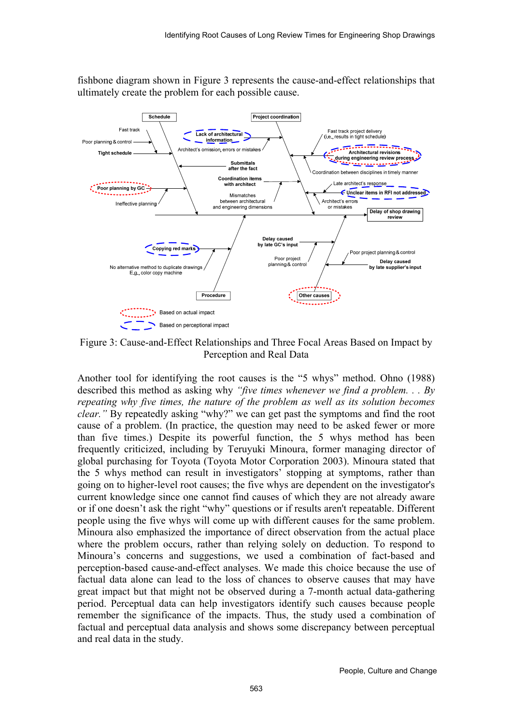fishbone diagram shown in Figure 3 represents the cause-and-effect relationships that ultimately create the problem for each possible cause.



Figure 3: Cause-and-Effect Relationships and Three Focal Areas Based on Impact by Perception and Real Data

Another tool for identifying the root causes is the "5 whys" method. Ohno (1988) described this method as asking why *"five times whenever we find a problem. . . By repeating why five times, the nature of the problem as well as its solution becomes clear."* By repeatedly asking "why?" we can get past the symptoms and find the root cause of a problem. (In practice, the question may need to be asked fewer or more than five times.) Despite its powerful function, the 5 whys method has been frequently criticized, including by Teruyuki Minoura, former managing director of global purchasing for Toyota (Toyota Motor Corporation 2003). Minoura stated that the 5 whys method can result in investigators' stopping at symptoms, rather than going on to higher-level root causes; the five whys are dependent on the investigator's current knowledge since one cannot find causes of which they are not already aware or if one doesn't ask the right "why" questions or if results aren't repeatable. Different people using the five whys will come up with different causes for the same problem. Minoura also emphasized the importance of direct observation from the actual place where the problem occurs, rather than relying solely on deduction. To respond to Minoura's concerns and suggestions, we used a combination of fact-based and perception-based cause-and-effect analyses. We made this choice because the use of factual data alone can lead to the loss of chances to observe causes that may have great impact but that might not be observed during a 7-month actual data-gathering period. Perceptual data can help investigators identify such causes because people remember the significance of the impacts. Thus, the study used a combination of factual and perceptual data analysis and shows some discrepancy between perceptual and real data in the study.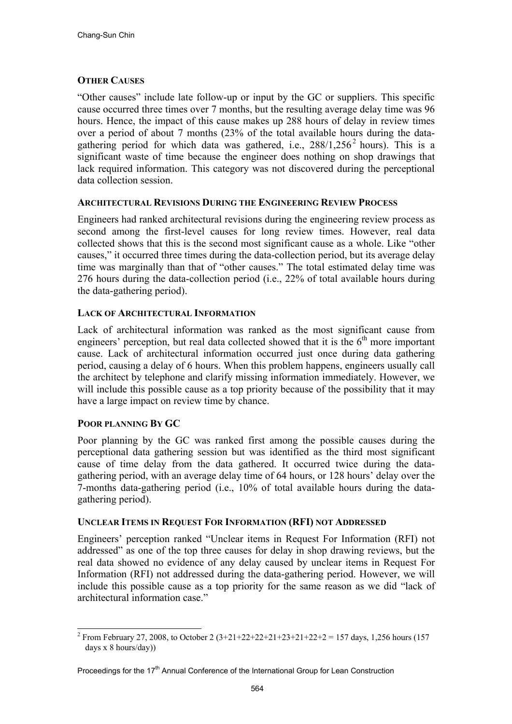# **OTHER CAUSES**

"Other causes" include late follow-up or input by the GC or suppliers. This specific cause occurred three times over 7 months, but the resulting average delay time was 96 hours. Hence, the impact of this cause makes up 288 hours of delay in review times over a period of about 7 months (23% of the total available hours during the datagathering period for which data was gathered, i.e.,  $288/1,256^2$  hours). This is a significant waste of time because the engineer does nothing on shop drawings that lack required information. This category was not discovered during the perceptional data collection session.

## **ARCHITECTURAL REVISIONS DURING THE ENGINEERING REVIEW PROCESS**

Engineers had ranked architectural revisions during the engineering review process as second among the first-level causes for long review times. However, real data collected shows that this is the second most significant cause as a whole. Like "other causes," it occurred three times during the data-collection period, but its average delay time was marginally than that of "other causes." The total estimated delay time was 276 hours during the data-collection period (i.e., 22% of total available hours during the data-gathering period).

# **LACK OF ARCHITECTURAL INFORMATION**

Lack of architectural information was ranked as the most significant cause from engineers' perception, but real data collected showed that it is the  $6<sup>th</sup>$  more important cause. Lack of architectural information occurred just once during data gathering period, causing a delay of 6 hours. When this problem happens, engineers usually call the architect by telephone and clarify missing information immediately. However, we will include this possible cause as a top priority because of the possibility that it may have a large impact on review time by chance.

# **POOR PLANNING BY GC**

Poor planning by the GC was ranked first among the possible causes during the perceptional data gathering session but was identified as the third most significant cause of time delay from the data gathered. It occurred twice during the datagathering period, with an average delay time of 64 hours, or 128 hours' delay over the 7-months data-gathering period (i.e., 10% of total available hours during the datagathering period).

## **UNCLEAR ITEMS IN REQUEST FOR INFORMATION (RFI) NOT ADDRESSED**

Engineers' perception ranked "Unclear items in Request For Information (RFI) not addressed" as one of the top three causes for delay in shop drawing reviews, but the real data showed no evidence of any delay caused by unclear items in Request For Information (RFI) not addressed during the data-gathering period. However, we will include this possible cause as a top priority for the same reason as we did "lack of architectural information case."

l <sup>2</sup> From February 27, 2008, to October 2  $(3+21+22+22+21+23+21+22+2=157 \text{ days}, 1,256 \text{ hours} (157 \text{ days}))$ days x 8 hours/day))

Proceedings for the 17<sup>th</sup> Annual Conference of the International Group for Lean Construction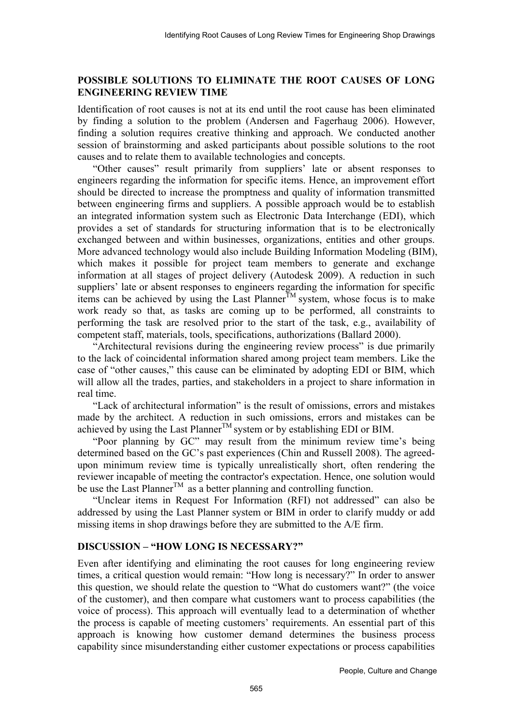# **POSSIBLE SOLUTIONS TO ELIMINATE THE ROOT CAUSES OF LONG ENGINEERING REVIEW TIME**

Identification of root causes is not at its end until the root cause has been eliminated by finding a solution to the problem (Andersen and Fagerhaug 2006). However, finding a solution requires creative thinking and approach. We conducted another session of brainstorming and asked participants about possible solutions to the root causes and to relate them to available technologies and concepts.

"Other causes" result primarily from suppliers' late or absent responses to engineers regarding the information for specific items. Hence, an improvement effort should be directed to increase the promptness and quality of information transmitted between engineering firms and suppliers. A possible approach would be to establish an integrated information system such as Electronic Data Interchange (EDI), which provides a set of standards for structuring information that is to be electronically exchanged between and within businesses, organizations, entities and other groups. More advanced technology would also include Building Information Modeling (BIM), which makes it possible for project team members to generate and exchange information at all stages of project delivery (Autodesk 2009). A reduction in such suppliers' late or absent responses to engineers regarding the information for specific items can be achieved by using the Last Planner<sup>TM</sup> system, whose focus is to make work ready so that, as tasks are coming up to be performed, all constraints to performing the task are resolved prior to the start of the task, e.g., availability of competent staff, materials, tools, specifications, authorizations (Ballard 2000).

"Architectural revisions during the engineering review process" is due primarily to the lack of coincidental information shared among project team members. Like the case of "other causes," this cause can be eliminated by adopting EDI or BIM, which will allow all the trades, parties, and stakeholders in a project to share information in real time.

"Lack of architectural information" is the result of omissions, errors and mistakes made by the architect. A reduction in such omissions, errors and mistakes can be achieved by using the Last Planner<sup>TM</sup> system or by establishing EDI or BIM.

"Poor planning by GC" may result from the minimum review time's being determined based on the GC's past experiences (Chin and Russell 2008). The agreedupon minimum review time is typically unrealistically short, often rendering the reviewer incapable of meeting the contractor's expectation. Hence, one solution would be use the Last Planner<sup>TM</sup> as a better planning and controlling function.

"Unclear items in Request For Information (RFI) not addressed" can also be addressed by using the Last Planner system or BIM in order to clarify muddy or add missing items in shop drawings before they are submitted to the A/E firm.

# **DISCUSSION – "HOW LONG IS NECESSARY?"**

Even after identifying and eliminating the root causes for long engineering review times, a critical question would remain: "How long is necessary?" In order to answer this question, we should relate the question to "What do customers want?" (the voice of the customer), and then compare what customers want to process capabilities (the voice of process). This approach will eventually lead to a determination of whether the process is capable of meeting customers' requirements. An essential part of this approach is knowing how customer demand determines the business process capability since misunderstanding either customer expectations or process capabilities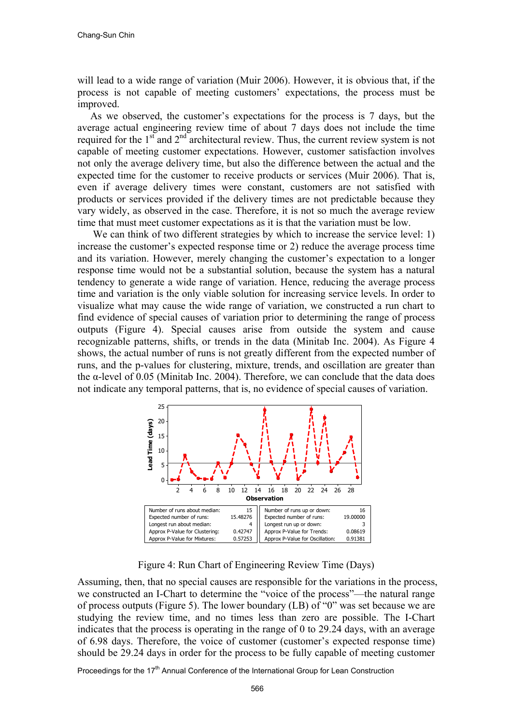will lead to a wide range of variation (Muir 2006). However, it is obvious that, if the process is not capable of meeting customers' expectations, the process must be improved.

 As we observed, the customer's expectations for the process is 7 days, but the average actual engineering review time of about 7 days does not include the time required for the  $1<sup>st</sup>$  and  $2<sup>nd</sup>$  architectural review. Thus, the current review system is not capable of meeting customer expectations. However, customer satisfaction involves not only the average delivery time, but also the difference between the actual and the expected time for the customer to receive products or services (Muir 2006). That is, even if average delivery times were constant, customers are not satisfied with products or services provided if the delivery times are not predictable because they vary widely, as observed in the case. Therefore, it is not so much the average review time that must meet customer expectations as it is that the variation must be low.

We can think of two different strategies by which to increase the service level: 1) increase the customer's expected response time or 2) reduce the average process time and its variation. However, merely changing the customer's expectation to a longer response time would not be a substantial solution, because the system has a natural tendency to generate a wide range of variation. Hence, reducing the average process time and variation is the only viable solution for increasing service levels. In order to visualize what may cause the wide range of variation, we constructed a run chart to find evidence of special causes of variation prior to determining the range of process outputs (Figure 4). Special causes arise from outside the system and cause recognizable patterns, shifts, or trends in the data (Minitab Inc. 2004). As Figure 4 shows, the actual number of runs is not greatly different from the expected number of runs, and the p-values for clustering, mixture, trends, and oscillation are greater than the  $\alpha$ -level of 0.05 (Minitab Inc. 2004). Therefore, we can conclude that the data does not indicate any temporal patterns, that is, no evidence of special causes of variation.



Figure 4: Run Chart of Engineering Review Time (Days)

Assuming, then, that no special causes are responsible for the variations in the process, we constructed an I-Chart to determine the "voice of the process"—the natural range of process outputs (Figure 5). The lower boundary (LB) of "0" was set because we are studying the review time, and no times less than zero are possible. The I-Chart indicates that the process is operating in the range of 0 to 29.24 days, with an average of 6.98 days. Therefore, the voice of customer (customer's expected response time) should be 29.24 days in order for the process to be fully capable of meeting customer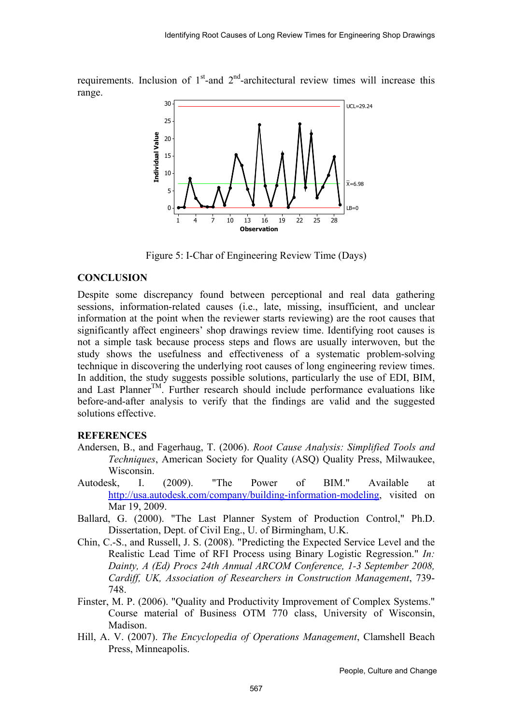requirements. Inclusion of  $1<sup>st</sup>$ -and  $2<sup>nd</sup>$ -architectural review times will increase this range.



Figure 5: I-Char of Engineering Review Time (Days)

## **CONCLUSION**

Despite some discrepancy found between perceptional and real data gathering sessions, information-related causes (i.e., late, missing, insufficient, and unclear information at the point when the reviewer starts reviewing) are the root causes that significantly affect engineers' shop drawings review time. Identifying root causes is not a simple task because process steps and flows are usually interwoven, but the study shows the usefulness and effectiveness of a systematic problem-solving technique in discovering the underlying root causes of long engineering review times. In addition, the study suggests possible solutions, particularly the use of EDI, BIM, and Last Planner<sup>TM</sup>. Further research should include performance evaluations like before-and-after analysis to verify that the findings are valid and the suggested solutions effective.

## **REFERENCES**

- Andersen, B., and Fagerhaug, T. (2006). *Root Cause Analysis: Simplified Tools and Techniques*, American Society for Quality (ASQ) Quality Press, Milwaukee, Wisconsin.
- Autodesk, I. (2009). "The Power of BIM." Available at http://usa.autodesk.com/company/building-information-modeling, visited on Mar 19, 2009.
- Ballard, G. (2000). "The Last Planner System of Production Control," Ph.D. Dissertation, Dept. of Civil Eng., U. of Birmingham, U.K.
- Chin, C.-S., and Russell, J. S. (2008). "Predicting the Expected Service Level and the Realistic Lead Time of RFI Process using Binary Logistic Regression." *In: Dainty, A (Ed) Procs 24th Annual ARCOM Conference, 1-3 September 2008, Cardiff, UK, Association of Researchers in Construction Management*, 739- 748.
- Finster, M. P. (2006). "Quality and Productivity Improvement of Complex Systems." Course material of Business OTM 770 class, University of Wisconsin, Madison.
- Hill, A. V. (2007). *The Encyclopedia of Operations Management*, Clamshell Beach Press, Minneapolis.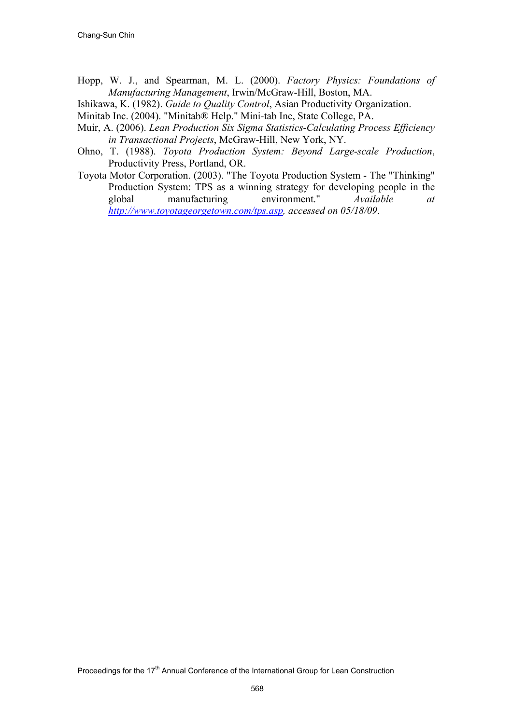- Hopp, W. J., and Spearman, M. L. (2000). *Factory Physics: Foundations of Manufacturing Management*, Irwin/McGraw-Hill, Boston, MA.
- Ishikawa, K. (1982). *Guide to Quality Control*, Asian Productivity Organization.

Minitab Inc. (2004). "Minitab® Help." Mini-tab Inc, State College, PA.

- Muir, A. (2006). *Lean Production Six Sigma Statistics-Calculating Process Efficiency in Transactional Projects*, McGraw-Hill, New York, NY.
- Ohno, T. (1988). *Toyota Production System: Beyond Large-scale Production*, Productivity Press, Portland, OR.
- Toyota Motor Corporation. (2003). "The Toyota Production System The "Thinking" Production System: TPS as a winning strategy for developing people in the global manufacturing environment." *Available at http://www.toyotageorgetown.com/tps.asp, accessed on 05/18/09*.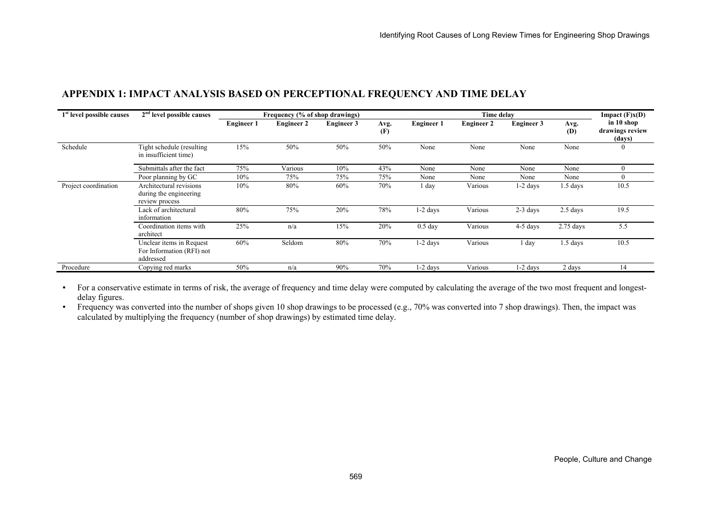| 1 <sup>st</sup> level possible causes | $2nd$ level possible causes                                         |                   | Frequency (% of shop drawings) |                   |             | Time delay        |                   |                   |             | Impact $(F)x(D)$                        |
|---------------------------------------|---------------------------------------------------------------------|-------------------|--------------------------------|-------------------|-------------|-------------------|-------------------|-------------------|-------------|-----------------------------------------|
|                                       |                                                                     | <b>Engineer 1</b> | <b>Engineer 2</b>              | <b>Engineer 3</b> | Avg.<br>(F) | <b>Engineer 1</b> | <b>Engineer 2</b> | <b>Engineer 3</b> | Avg.<br>(D) | in 10 shop<br>drawings review<br>(days) |
| Schedule                              | Tight schedule (resulting)<br>in insufficient time)                 | 15%               | 50%                            | 50%               | 50%         | None              | None              | None              | None        | $\theta$                                |
|                                       | Submittals after the fact                                           | 75%               | Various                        | 10%               | 43%         | None              | None              | None              | None        | $\theta$                                |
|                                       | Poor planning by GC                                                 | 10%               | 75%                            | 75%               | 75%         | None              | None              | None              | None        | $\left( \right)$                        |
| Project coordination                  | Architectural revisions<br>during the engineering<br>review process | 10%               | $80\%$                         | 60%               | 70%         | l day             | Various           | $1-2$ days        | $1.5$ days  | 10.5                                    |
|                                       | Lack of architectural<br>information                                | 80%               | 75%                            | 20%               | 78%         | $1-2$ days        | Various           | $2-3$ days        | $2.5$ days  | 19.5                                    |
|                                       | Coordination items with<br>architect                                | 25%               | n/a                            | 15%               | 20%         | $0.5$ day         | Various           | 4-5 days          | $2.75$ days | 5.5                                     |
|                                       | Unclear items in Request<br>For Information (RFI) not<br>addressed  | 60%               | Seldom                         | 80%               | 70%         | $1-2$ days        | Various           | l day             | $1.5$ days  | 10.5                                    |
| Procedure                             | Copying red marks                                                   | 50%               | n/a                            | 90%               | 70%         | 1-2 days          | Various           | 1-2 days          | 2 days      | 14                                      |

## **APPENDIX 1: IMPACT ANALYSIS BASED ON PERCEPTIONAL FREQUENCY AND TIME DELAY**

• For a conservative estimate in terms of risk, the average of frequency and time delay were computed by calculating the average of the two most frequent and longestdelay figures.

• Frequency was converted into the number of shops given 10 shop drawings to be processed (e.g., 70% was converted into 7 shop drawings). Then, the impact was calculated by multiplying the frequency (number of shop drawings) by estimated time delay.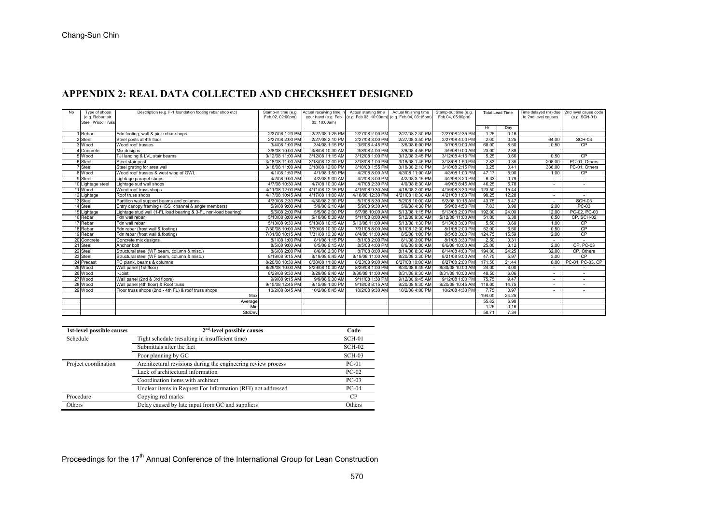## **APPENDIX 2: REAL DATA COLLECTED AND CHECKSHEET DESIGNED**

| No | Type of shops     | Description (e.g. F-1 foundation footing rebar shop etc)       | Stamp-in time (e.g. | Actual receiving time in Actual starting time |                                                                   | Actual finishing time | Stamp-out time (e.g. | Total Lead Time |       | Time delayed (hr) due   2nd level cause code |                  |
|----|-------------------|----------------------------------------------------------------|---------------------|-----------------------------------------------|-------------------------------------------------------------------|-----------------------|----------------------|-----------------|-------|----------------------------------------------|------------------|
|    | (e.g. Rebar, str. |                                                                | Feb 02, 02:00pm)    |                                               | your hand (e.g. Feb (e.g. Feb 03, 10:00am) (e.g. Feb 04, 03:15pm) |                       | Feb 04, 05:00pm)     |                 |       | to 2nd level causes                          | (e.g. SCH-01)    |
|    | Steel, Wood Truss |                                                                |                     | 03, 10:00am)                                  |                                                                   |                       |                      |                 |       |                                              |                  |
|    |                   |                                                                |                     |                                               |                                                                   |                       |                      | Hr              | Day   |                                              |                  |
|    | 1 Rebar           | Fdn footing, wall & pier rebar shops                           | 2/27/08 1:20 PM     | 2/27/08 1:25 PM                               | 2/27/08 2:00 PM                                                   | 2/27/08 2:30 PM       | 2/27/08 2:35 PM      | 1.25            | 0.16  |                                              |                  |
|    | 2 Steel           | Steel posts at 4th floor                                       | 2/27/08 2:00 PM     | 2/27/08 2:10 PM                               | 2/27/08 3:00 PM                                                   | 2/27/08 3:50 PM       | 2/27/08 4:00 PM      | 2.00            | 0.25  | 64.00                                        | <b>SCH-03</b>    |
|    | 3 Wood            | Wood roof trusses                                              | 3/4/08 1:00 PM      | 3/4/08 1:15 PM                                | 3/6/08 4:45 PM                                                    | 3/6/08 6:00 PM        | 3/7/08 9:00 AM       | 68.00           | 8.50  | 0.50                                         | <b>CP</b>        |
|    | 4 Concrete        | Mix designs                                                    | 3/8/08 10:00 AM     | 3/8/08 10:30 AM                               | 3/8/08 4:00 PM                                                    | 3/8/08 4:55 PM        | 3/9/08 9:00 AM       | 23.00           | 2.88  |                                              |                  |
|    | 5 Wood            | TJI landing & LVL stair beams                                  | 3/12/08 11:00 AM    | 3/12/08 11:15 AM                              | 3/12/08 1:00 PM                                                   | 3/12/08 3:45 PM       | 3/12/08 4:15 PM      | 5.25            | 0.66  | 0.50                                         | CP               |
|    | 6 Steel           | Steel stair post                                               | 3/18/08 11:00 AM    | 3/18/08 12:00 PM                              | 3/18/08 1:00 PM                                                   | 3/18/08 1:45 PM       | 3/18/08 1:50 PM      | 2.83            | 0.35  | 208.00                                       | PC-01, Others    |
|    | <b>7</b> Steel    | Steel grating for area wall                                    | 3/18/08 11:00 AM    | 3/18/08 12:00 PM                              | 3/18/08 1:55 PM                                                   | 3/18/08 2:10 PM       | 3/18/08 2:15 PM      | 3.25            | 0.41  | 336.00                                       | PC-01, Others    |
|    | 8 Wood            | Wood roof trusses & west wing of GWL                           | 4/1/08 1:50 PM      | 4/1/08 1:50 PM                                | 4/2/08 8:00 AM                                                    | 4/3/08 11:00 AM       | 4/3/08 1:00 PM       | 47.17           | 5.90  | 1.00                                         | CP               |
|    | 9 Steel           | Lightage parapet shops                                         | 4/2/08 9:00 AM      | 4/2/08 9:00 AM                                | 4/2/08 3:00 PM                                                    | 4/2/08 3:15 PM        | 4/2/08 3:20 PM       | 6.33            | 0.79  |                                              |                  |
|    | 10 Lightage steel | Lightage sud wall shops                                        | 4/7/08 10:30 AM     | 4/7/08 10:30 AM                               | 4/7/08 2:30 PM                                                    | 4/9/08 8:30 AM        | 4/9/08 8:45 AM       | 46.25           | 5.78  |                                              |                  |
|    | 11 Wood           | Wood roof truss shops                                          | 4/11/08 12:00 PM    | 4/11/08 12:15 PM                              | 4/15/08 9:30 AM                                                   | 4/16/08 2:00 PM       | 4/16/08 3:30 PM      | 123.50          | 15.44 | $\overline{\phantom{a}}$                     |                  |
|    | 12 Lightage       | Roof truss shops                                               | 4/17/08 10:45 AM    | 4/17/08 11:00 AM                              | 4/18/08 12:30 PM                                                  | 4/21/08 10:30 AM      | 4/21/08 1:00 PM      | 98.25           | 12.28 | $\overline{\phantom{a}}$                     |                  |
|    | 13 Steel          | Partition wall support beams and columns                       | 4/30/08 2:30 PM     | 4/30/08 2:30 PM                               | 5/1/08 8:30 AM                                                    | 5/2/08 10:00 AM       | 5/2/08 10:15 AM      | 43.75           | 5.47  | $\sim$                                       | SCH-03           |
|    | 14 Steel          | Entry canopy framing (HSS channel & angle members)             | 5/9/08 9:00 AM      | 5/9/08 9:10 AM                                | 5/9/08 9:30 AM                                                    | 5/9/08 4:30 PM        | 5/9/08 4:50 PM       | 7.83            | 0.98  | 2.00                                         | PC-03            |
|    | 15 Lightage       | Lightage stud wall (1-FL load bearing & 3-FL non-load bearing) | 5/5/08 2:00 PM      | 5/5/08 2:00 PM                                | 5/7/08 10:00 AM                                                   | 5/13/08 1:15 PM       | 5/13/08 2:00 PM      | 192.00          | 24.00 | 12.00                                        | PC-02, PC-03     |
|    | 16 Rebar          | Fdn wall rebar                                                 | 5/10/08 8:00 AM     | 5/10/08 8:30 AM                               | 5/11/08 8:00 AM                                                   | 5/12/08 9:30 AM       | 5/12/08 11:00 AM     | 51.00           | 6.38  | 0.50                                         | CP. SCH-02       |
|    | 17 Rebar          | Fdn wall rebar                                                 | 5/13/08 9:30 AM     | 5/13/08 10:15 AM                              | 5/13/08 11:00 AM                                                  | 5/13/08 1:30 PM       | 5/13/08 3:00 PM      | 5.50            | 0.69  | 1.00                                         | CP               |
|    | 18 Rebar          | Fdn rebar (frost wall & footing)                               | 7/30/08 10:00 AM    | 7/30/08 10:30 AM                              | 7/31/08 8:00 AM                                                   | 8/1/08 12:30 PM       | 8/1/08 2:00 PM       | 52.00           | 6.50  | 0.50                                         | CP               |
|    | 19 Rebar          | Fdn rebar (frost wall & footing)                               | 7/31/08 10:15 AM    | 7/31/08 10:30 AM                              | 8/4/08 11:00 AM                                                   | 8/5/08 1:00 PM        | 8/5/08 3:00 PM       | 124.75          | 15.59 | 2.00                                         | CP               |
|    | 20 Concrete       | Concrete mix designs                                           | 8/1/08 1:00 PM      | 8/1/08 1:15 PM                                | 8/1/08 2:00 PM                                                    | 8/1/08 3:00 PM        | 8/1/08 3:30 PM       | 2.50            | 0.31  | $\sim$                                       |                  |
|    | 21 Steel          | Anchor bolt                                                    | 8/5/08 9:00 AM      | 8/5/08 9:15 AM                                | 8/5/08 4:00 PM                                                    | 8/6/08 9:00 AM        | 8/6/08 10:00 AM      | 25.00           | 3.12  | 2.00                                         | CP, PC-03        |
|    | 22 Steel          | Structural steel (WF beam, column & misc.)                     | 8/6/08 2:00 PM      | 8/6/08 2:30 PM                                | 8/7/08 8:00 AM                                                    | 8/14/08 8:30 AM       | 8/14/08 4:00 PM      | 194.00          | 24.25 | 32.00                                        | CP, Others       |
|    | 23 Steel          | Structural steel (WF beam, column & misc.)                     | 8/19/08 9:15 AM     | 8/19/08 9:45 AM                               | 8/19/08 11:00 AM                                                  | 8/20/08 3:30 PM       | 8/21/08 9:00 AM      | 47.75           | 5.97  | 3.00                                         | CP               |
|    | 24 Precast        | PC plank, beams & columns                                      | 8/20/08 10:30 AM    | 8/20/08 11:00 AM                              | 8/23/08 9:00 AM                                                   | 8/27/08 10:00 AM      | 8/27/08 2:00 PM      | 171.50          | 21.44 | 8.00                                         | PC-01, PC-03, CP |
|    | 25 Wood           | Wall panel (1st floor)                                         | 8/29/08 10:00 AM    | 8/29/08 10:30 AM                              | 8/29/08 1:00 PM                                                   | 8/30/08 8:45 AM       | 8/30/08 10:00 AM     | 24.00           | 3.00  |                                              |                  |
|    | 26 Wood           | I-Joist                                                        | 8/29/08 9:30 AM     | 8/29/08 9:40 AM                               | 8/30/08 11:00 AM                                                  | 8/31/08 9:30 AM       | 8/31/08 10:00 AM     | 48.50           | 6.06  |                                              |                  |
|    | 27 Wood           | Wall panel (2nd & 3rd floors)                                  | 9/9/08 9:15 AM      | 9/9/08 9:30 AM                                | 9/11/08 1:30 PM                                                   | 9/12/08 9:45 AM       | 9/12/08 1:00 PM      | 75.75           | 9.47  |                                              |                  |
|    | 28 Wood           | Wall panel (4th floor) & Roof truss                            | 9/15/08 12:45 PM    | 9/15/08 1:00 PM                               | 9/18/08 8:15 AM                                                   | 9/20/08 9:30 AM       | 9/20/08 10:45 AM     | 118.00          | 14.75 |                                              |                  |
|    | 29 Wood           | Floor truss shops (2nd - 4th FL) & roof truss shops            | 10/2/08 8:45 AM     | 10/2/08 8:45 AM                               | 10/2/08 9:30 AM                                                   | 10/2/08 4:00 PM       | 10/2/08 4:30 PM      | 7.75            | 0.97  | $\overline{\phantom{a}}$                     |                  |
|    |                   | Max                                                            |                     |                                               |                                                                   |                       |                      | 194.00          | 24.25 |                                              |                  |
|    |                   | Average                                                        |                     |                                               |                                                                   |                       |                      | 55.82           | 6.98  |                                              |                  |
|    |                   | Min                                                            |                     |                                               |                                                                   |                       |                      | 1.25            | 0.16  |                                              |                  |
|    |                   | StdDev                                                         |                     |                                               |                                                                   |                       |                      | 58.71           | 7.34  |                                              |                  |

| 1st-level possible causes | $2nd$ -level possible causes                                  | Code     |
|---------------------------|---------------------------------------------------------------|----------|
| Schedule                  | Tight schedule (resulting in insufficient time)               | SCH-01   |
|                           | Submittals after the fact                                     | SCH-02   |
|                           | Poor planning by GC                                           | $SCH-03$ |
| Project coordination      | Architectural revisions during the engineering review process | $PC-01$  |
|                           | Lack of architectural information                             | $PC-02$  |
|                           | Coordination items with architect                             | $PC-03$  |
|                           | Unclear items in Request For Information (RFI) not addressed  | $PC-04$  |
| Procedure                 | Copying red marks                                             | CP       |
| Others                    | Delay caused by late input from GC and suppliers              | Others   |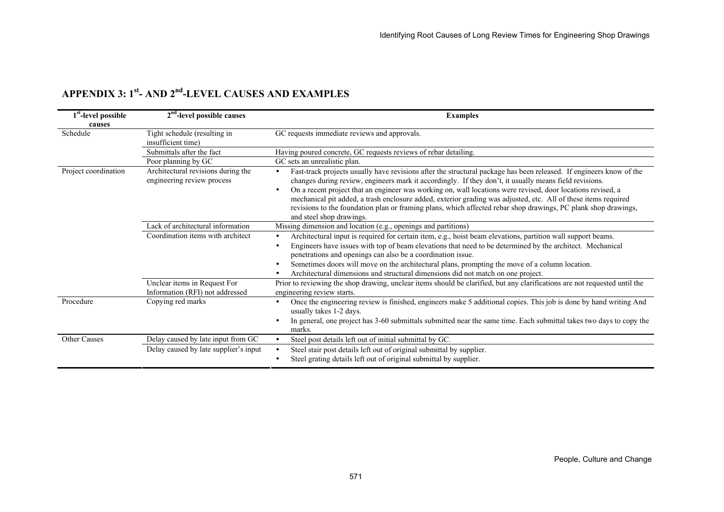| 1 <sup>st</sup> -level possible | 2 <sup>nd</sup> -level possible causes                           | <b>Examples</b>                                                                                                                                                                                                                                                                                                                                                                                                                                                                                                                                                                                                                        |
|---------------------------------|------------------------------------------------------------------|----------------------------------------------------------------------------------------------------------------------------------------------------------------------------------------------------------------------------------------------------------------------------------------------------------------------------------------------------------------------------------------------------------------------------------------------------------------------------------------------------------------------------------------------------------------------------------------------------------------------------------------|
| causes                          |                                                                  |                                                                                                                                                                                                                                                                                                                                                                                                                                                                                                                                                                                                                                        |
| Schedule                        | Tight schedule (resulting in<br>insufficient time)               | GC requests immediate reviews and approvals.                                                                                                                                                                                                                                                                                                                                                                                                                                                                                                                                                                                           |
|                                 | Submittals after the fact                                        | Having poured concrete, GC requests reviews of rebar detailing.                                                                                                                                                                                                                                                                                                                                                                                                                                                                                                                                                                        |
|                                 | Poor planning by GC                                              | GC sets an unrealistic plan.                                                                                                                                                                                                                                                                                                                                                                                                                                                                                                                                                                                                           |
| Project coordination            | Architectural revisions during the<br>engineering review process | Fast-track projects usually have revisions after the structural package has been released. If engineers know of the<br>$\bullet$<br>changes during review, engineers mark it accordingly. If they don't, it usually means field revisions.<br>On a recent project that an engineer was working on, wall locations were revised, door locations revised, a<br>$\bullet$<br>mechanical pit added, a trash enclosure added, exterior grading was adjusted, etc. All of these items required<br>revisions to the foundation plan or framing plans, which affected rebar shop drawings, PC plank shop drawings,<br>and steel shop drawings. |
|                                 | Lack of architectural information                                | Missing dimension and location (e.g., openings and partitions)                                                                                                                                                                                                                                                                                                                                                                                                                                                                                                                                                                         |
|                                 | Coordination items with architect                                | Architectural input is required for certain item, e.g., hoist beam elevations, partition wall support beams.<br>Engineers have issues with top of beam elevations that need to be determined by the architect. Mechanical<br>$\bullet$<br>penetrations and openings can also be a coordination issue.<br>Sometimes doors will move on the architectural plans, prompting the move of a column location.<br>Architectural dimensions and structural dimensions did not match on one project.                                                                                                                                            |
|                                 | Unclear items in Request For<br>Information (RFI) not addressed  | Prior to reviewing the shop drawing, unclear items should be clarified, but any clarifications are not requested until the<br>engineering review starts.                                                                                                                                                                                                                                                                                                                                                                                                                                                                               |
| Procedure                       | Copying red marks                                                | Once the engineering review is finished, engineers make 5 additional copies. This job is done by hand writing And<br>usually takes 1-2 days.<br>In general, one project has 3-60 submittals submitted near the same time. Each submittal takes two days to copy the<br>marks.                                                                                                                                                                                                                                                                                                                                                          |
| Other Causes                    | Delay caused by late input from GC                               | Steel post details left out of initial submittal by GC.                                                                                                                                                                                                                                                                                                                                                                                                                                                                                                                                                                                |
|                                 | Delay caused by late supplier's input                            | Steel stair post details left out of original submittal by supplier.<br>Steel grating details left out of original submittal by supplier.                                                                                                                                                                                                                                                                                                                                                                                                                                                                                              |

# **APPENDIX 3: 1st- AND 2nd-LEVEL CAUSES AND EXAMPLES**